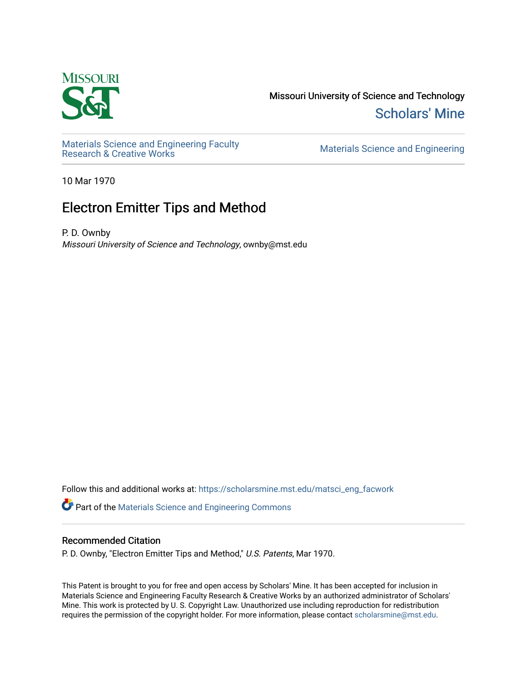

Missouri University of Science and Technology [Scholars' Mine](https://scholarsmine.mst.edu/) 

Materials Science and Engineering Faculty<br>Research & Creative Works

Materials Science and Engineering

10 Mar 1970

# Electron Emitter Tips and Method

P. D. Ownby Missouri University of Science and Technology, ownby@mst.edu

Follow this and additional works at: [https://scholarsmine.mst.edu/matsci\\_eng\\_facwork](https://scholarsmine.mst.edu/matsci_eng_facwork?utm_source=scholarsmine.mst.edu%2Fmatsci_eng_facwork%2F1362&utm_medium=PDF&utm_campaign=PDFCoverPages) 

Part of the [Materials Science and Engineering Commons](http://network.bepress.com/hgg/discipline/285?utm_source=scholarsmine.mst.edu%2Fmatsci_eng_facwork%2F1362&utm_medium=PDF&utm_campaign=PDFCoverPages) 

# Recommended Citation

P. D. Ownby, "Electron Emitter Tips and Method," U.S. Patents, Mar 1970.

This Patent is brought to you for free and open access by Scholars' Mine. It has been accepted for inclusion in Materials Science and Engineering Faculty Research & Creative Works by an authorized administrator of Scholars' Mine. This work is protected by U. S. Copyright Law. Unauthorized use including reproduction for redistribution requires the permission of the copyright holder. For more information, please contact [scholarsmine@mst.edu.](mailto:scholarsmine@mst.edu)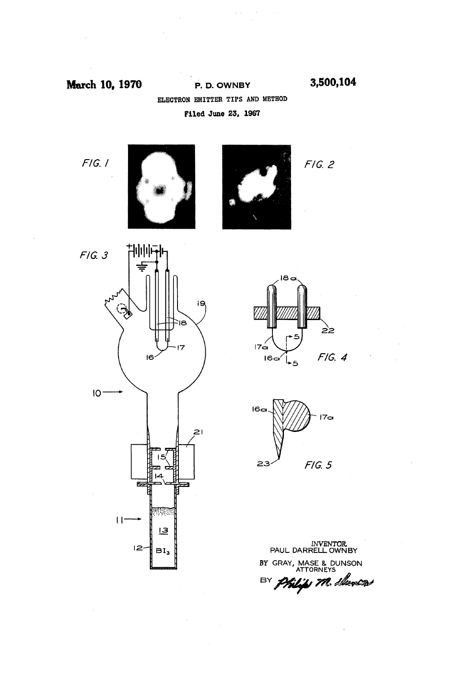March 10, 1970

P. D. OWNBY 3,500,104 ELECTRON EMITTER TIPS AND METHOD Fied June 23, 1967

 $F/G.$  /





 $F/G. 2$ 







INVENTOR.<br>PAUL DARRELL OWNBY BY GRAY, MASE & DUNSON BY Philips M. Sheven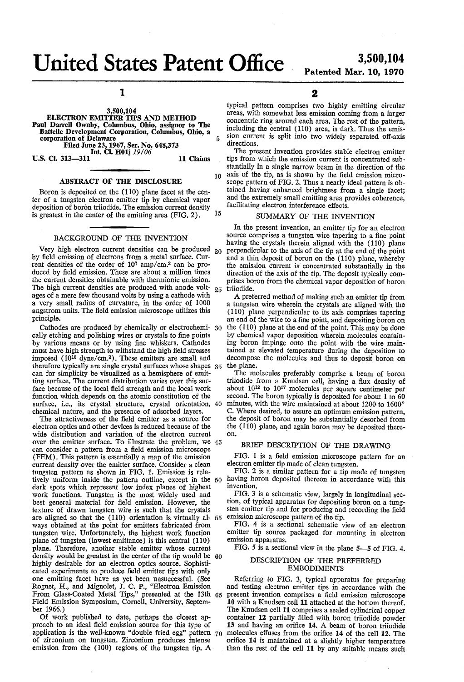United States Patent Office 3,500,104

 $\mathbf{1}$ 

3,500,104<br>ELECTRON EMITTER TIPS AND METHOD Paul Darrell Ownby, Columbus, Ohio, assignor to The Battelle Development Corporation, Columbus, Ohio, a corporation of Delaware Filed June 23, 1967, Ser. No. 648,373<br>Int. Cl. H01j 19/06<br>313—311 11 Claims

U.S. Cl. 313-311

 $\kappa$ 

## ABSTRACT OF THE DISCLOSURE

Boron is deposited on the (110) plane facet at the center of a tungsten electron emitter tip by chemical vapor deposition of boron triiodide. The emission current density is greatest in the center of the emitting area (FIG. 2). 5

### BACKGROUND OF THE INVENTION

Very high electron current densities can be produced  $_{20}$ by field emission of electrons from a metal surface. Current densities of the order of  $10<sup>7</sup>$  amp/cm.<sup>2</sup> can be produced by field emission. These are about a million times the current densities obtainable with thermionic emission. The high current densities are produced with anode volt-  $25$ ages of a mere few thousand volts by using a cathode with a very small radius of curvature, in the order of 1000 angstrom units. The field emission microscope utilizes this principle.

Cathodes are produced by chemically or electrochemi- 30 cally etching and polishing wires or crystals to fine points by various means or by using fine whiskers. Cathodes must have high strength to withstand the high field stresses imposed (10<sup>10</sup> dyne/cm.<sup>2</sup>). These emitters are small and therefore typically are single crystal surfaces whose shapes 35 can for simplicity be visualized as a hemisphere of emit ting surface. The current distribution varies over this sur face because of the local field strength and the local work function which depends on the atomic constitution of the chemical nature, and the presence of adsorbed layers.<br>The attractiveness of the field emitter as a source for surface, i.e., its crystal structure, crystal orientation, 40

electron optics and other devices is reduced because of the wide distribution and variation of the electron current over the emitter surface. To illustrate the problem, we 45 can consider a pattern from a field emission microscope (FEM). This pattern is essentially a map of the emission current density over the emitter surface. Consider a clean tungsten pattern as shown in FIG. 1. Emission is rela tively uniform inside the pattern outline, except in the 50 dark spots which represent low index planes of highest work functions. Tungsten is the most widely used and best general material for field emission. However, the texture of drawn tungsten wire is such that the crystals are aligned so that the  $(110)$  orientation is virtually al-  $55$ ways obtained at the point for emitters fabricated from tungsten wire. Unfortunately, the highest work function plane of tungsten (lowest emittance) is this central (110) plane. Therefore, another stable emitter whose current density would be greatest in the center of the tip would be 60 highly desirable for an electron optics source. Sophisticated experiments to produce field emitter tips with only one emitting facet have as yet been unsuccessful. (See Rognet, H., and Mignolet, J. C. P., "Electron Emission From Glass-Coated Metal Tips,' presented at the 13th From Giass-Coaled Metal Tips, presented at the 15th 65<br>Field Emission Symposium, Cornell, University, Septem-

ber 1966.)<br>Of work published to date, perhaps the closest ap-<br>proach to an ideal field emission source for this type of application is the well-known "double fried egg" pattern  $\gamma_0$  of zirconium on tungsten. Zirconium produces intense emission from the (100) regions of the tungsten tip. A

2

typical pattern comprises two highly emitting circular areas, with somewhat less emission coming from a larger concentric ring around each area. The rest of the pattern, including the central (110) area, is dark. Thus the emission current is split into two widely separated off-axis directions.

The present invention provides stable electron emitter tips from which the emission current is concentrated sub stantially in a single narrow beam in the direction of the

 $10$ axis of the tip, as is shown by the field emission micro scope pattern of FIG. 2. Thus a nearly ideal pattern is obtained having enhanced brightness from a single facet; and the extremely small emitting area provides coherence, facilitating electron interference effects.

### SUMMARY OF THE INVENTION

In the present invention, an emitter tip for an electron source comprises a tungsten wire tapering to a fine point having the crystals therein aligned with the (110) plane<br>perpendicular to the axis of the tip at the end of the point<br>and a thin deposit of boron on the (110) plane, whereby<br>the emission current is concentrated substantial triiodide.

A preferred method of making such an emitter tip from a tungsten wire wherein the crystals are aligned with the (110) plane perpendicular to its axis comprises tapering an end of the wire to a fine point, and depositing boron on the (110) plane at the end of the point. This may be done by chemical vapor deposition wherein molecules containing boron impinge onto the point with the wire maintained at elevated temperature during the deposition to decompose the molecules and thus to deposit boron on the plane.

The molecules preferably comprise a beam of boron triiodide from a Knudsen cell, having a flux density of about  $10^{12}$  to  $10^{17}$  molecules per square centimeter per second. The boron typically is deposited for about 1 to 60 minutes, with the wire maintained at about 1200 to 1600 $^{\circ}$  C. Where desired, to assure an optimum emission pattern, the deposit of boron may be substantially desorbed from the (110) plane, and again boron may be deposited there on.

#### BRIEF DESCRIPTION OF THE DRAWING

FIG. 1 is a field emission microscope pattern for an electron emitter tip made of clean tungsten.

FIG. 2 is a similar pattern for a tip made of tungsten having boron deposited thereon in accordance with this invention.<br>FIG. 3 is a schematic view, largely in longitudinal sec-

fiel. 3 is a schematic view, largely in the schematic view of the sten emitter tip and for producing and recording the field emission microscope pattern of the tip.

FIG. 4 is a sectional schematic view of an electron emitter tip source packaged for mounting in electron emission apparatus.

FIG. 5 is a sectional view in the plane  $5-5$  of FIG. 4.

#### DESCRIPTION OF THE PREFERRED EMBODIMENTS

Referring to FIG. 3, typical apparatus for preparing and testing electron emitter tips in accordance with the present invention comprises a field emission microscope 10 with a Knudsen cell 11 attached at the bottom thereof.<br>The Knudsen cell 11 comprises a sealed cylindrical copper container 12 partially filled with boron triiodide powder 13 and having an orifice 14. A beam of boron triiodide molecules effuses from the orifice 14 of the cell 12. The orifice 14 is maintained at a slightly higher temperature than the rest of the cell 11 by any suitable means such

Patented Mar. 10, 1970